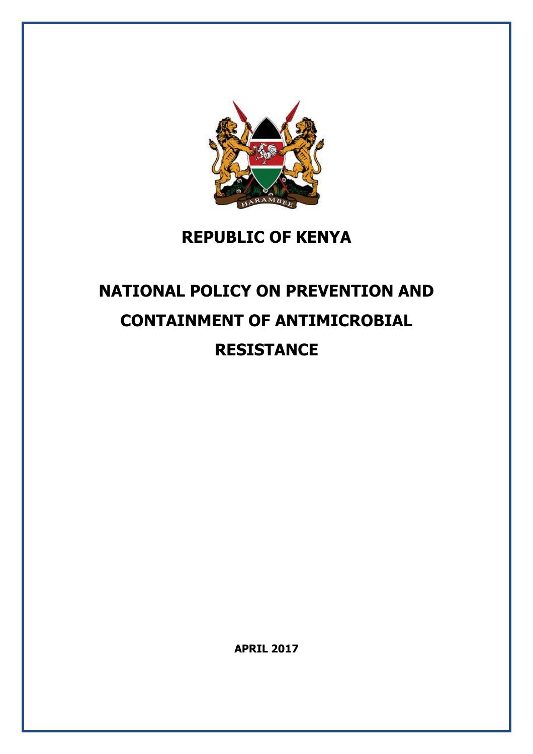

### **REPUBLIC OF KENYA**

### **NATIONAL POLICY ON PREVENTION AND CONTAINMENT OF ANTIMICROBIAL RESISTANCE**

**APRIL 2017**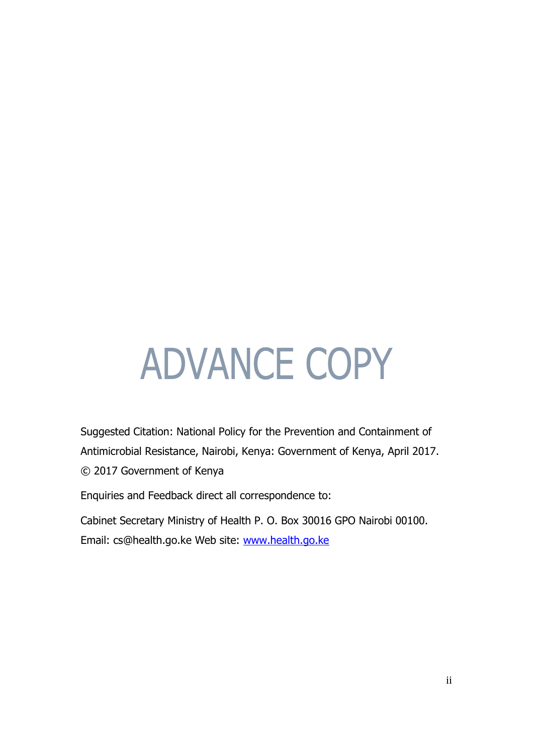# **ADVANCE COPY**

Suggested Citation: National Policy for the Prevention and Containment of Antimicrobial Resistance, Nairobi, Kenya: Government of Kenya, April 2017. © 2017 Government of Kenya

Enquiries and Feedback direct all correspondence to:

Cabinet Secretary Ministry of Health P. O. Box 30016 GPO Nairobi 00100. Email: cs@health.go.ke Web site: [www.health.go.ke](http://www.health.go.ke/)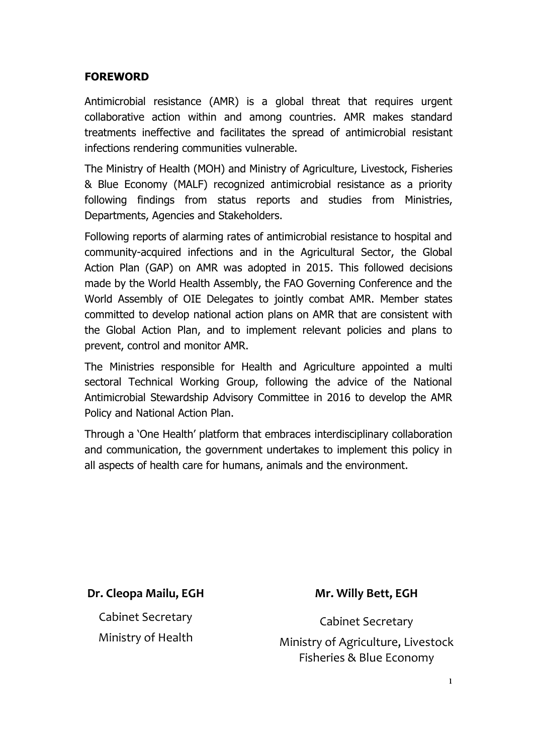#### **FOREWORD**

Antimicrobial resistance (AMR) is a global threat that requires urgent collaborative action within and among countries. AMR makes standard treatments ineffective and facilitates the spread of antimicrobial resistant infections rendering communities vulnerable.

The Ministry of Health (MOH) and Ministry of Agriculture, Livestock, Fisheries & Blue Economy (MALF) recognized antimicrobial resistance as a priority following findings from status reports and studies from Ministries, Departments, Agencies and Stakeholders.

Following reports of alarming rates of antimicrobial resistance to hospital and community-acquired infections and in the Agricultural Sector, the Global Action Plan (GAP) on AMR was adopted in 2015. This followed decisions made by the World Health Assembly, the FAO Governing Conference and the World Assembly of OIE Delegates to jointly combat AMR. Member states committed to develop national action plans on AMR that are consistent with the Global Action Plan, and to implement relevant policies and plans to prevent, control and monitor AMR.

The Ministries responsible for Health and Agriculture appointed a multi sectoral Technical Working Group, following the advice of the National Antimicrobial Stewardship Advisory Committee in 2016 to develop the AMR Policy and National Action Plan.

Through a 'One Health' platform that embraces interdisciplinary collaboration and communication, the government undertakes to implement this policy in all aspects of health care for humans, animals and the environment.

#### **Dr. Cleopa Mailu, EGH**

Cabinet Secretary Ministry of Health

#### **Mr. Willy Bett, EGH**

Cabinet Secretary

Ministry of Agriculture, Livestock Fisheries & Blue Economy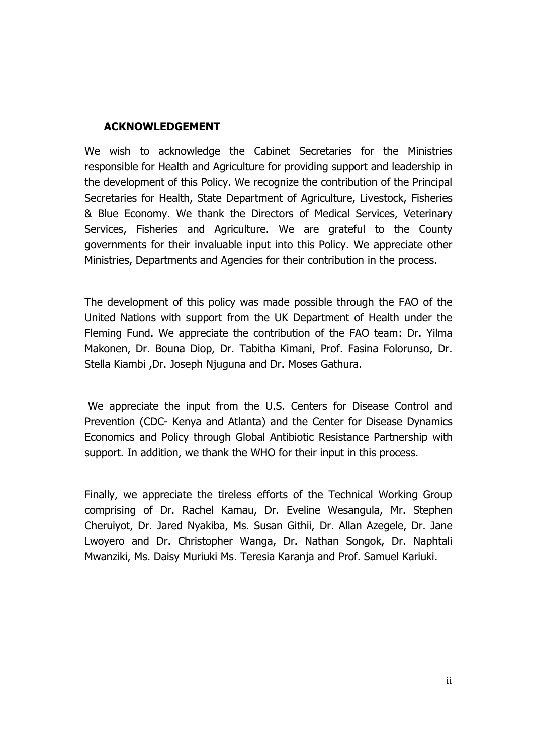#### **ACKNOWLEDGEMENT**

We wish to acknowledge the Cabinet Secretaries for the Ministries responsible for Health and Agriculture for providing support and leadership in the development of this Policy. We recognize the contribution of the Principal Secretaries for Health, State Department of Agriculture, Livestock, Fisheries & Blue Economy. We thank the Directors of Medical Services, Veterinary Services, Fisheries and Agriculture. We are grateful to the County governments for their invaluable input into this Policy. We appreciate other Ministries, Departments and Agencies for their contribution in the process.

The development of this policy was made possible through the FAO of the United Nations with support from the UK Department of Health under the Fleming Fund. We appreciate the contribution of the FAO team: Dr. Yilma Makonen, Dr. Bouna Diop, Dr. Tabitha Kimani, Prof. Fasina Folorunso, Dr. Stella Kiambi ,Dr. Joseph Njuguna and Dr. Moses Gathura.

We appreciate the input from the U.S. Centers for Disease Control and Prevention (CDC- Kenya and Atlanta) and the Center for Disease Dynamics Economics and Policy through Global Antibiotic Resistance Partnership with support. In addition, we thank the WHO for their input in this process.

Finally, we appreciate the tireless efforts of the Technical Working Group comprising of Dr. Rachel Kamau, Dr. Eveline Wesangula, Mr. Stephen Cheruiyot, Dr. Jared Nyakiba, Ms. Susan Githii, Dr. Allan Azegele, Dr. Jane Lwoyero and Dr. Christopher Wanga, Dr. Nathan Songok, Dr. Naphtali Mwanziki, Ms. Daisy Muriuki Ms. Teresia Karanja and Prof. Samuel Kariuki.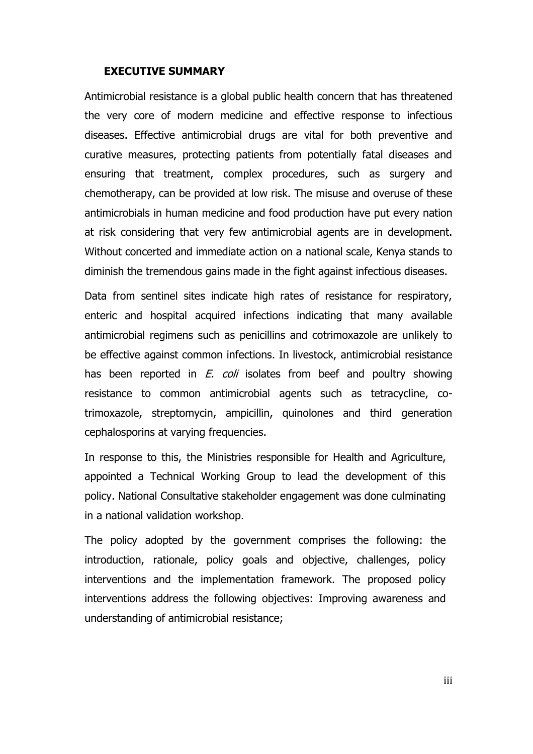#### **EXECUTIVE SUMMARY**

Antimicrobial resistance is a global public health concern that has threatened the very core of modern medicine and effective response to infectious diseases. Effective antimicrobial drugs are vital for both preventive and curative measures, protecting patients from potentially fatal diseases and ensuring that treatment, complex procedures, such as surgery and chemotherapy, can be provided at low risk. The misuse and overuse of these antimicrobials in human medicine and food production have put every nation at risk considering that very few antimicrobial agents are in development. Without concerted and immediate action on a national scale, Kenya stands to diminish the tremendous gains made in the fight against infectious diseases.

Data from sentinel sites indicate high rates of resistance for respiratory, enteric and hospital acquired infections indicating that many available antimicrobial regimens such as penicillins and cotrimoxazole are unlikely to be effective against common infections. In livestock, antimicrobial resistance has been reported in *E. coli* isolates from beef and poultry showing resistance to common antimicrobial agents such as tetracycline, cotrimoxazole, streptomycin, ampicillin, quinolones and third generation cephalosporins at varying frequencies.

In response to this, the Ministries responsible for Health and Agriculture, appointed a Technical Working Group to lead the development of this policy. National Consultative stakeholder engagement was done culminating in a national validation workshop.

The policy adopted by the government comprises the following: the introduction, rationale, policy goals and objective, challenges, policy interventions and the implementation framework. The proposed policy interventions address the following objectives: Improving awareness and understanding of antimicrobial resistance;

iii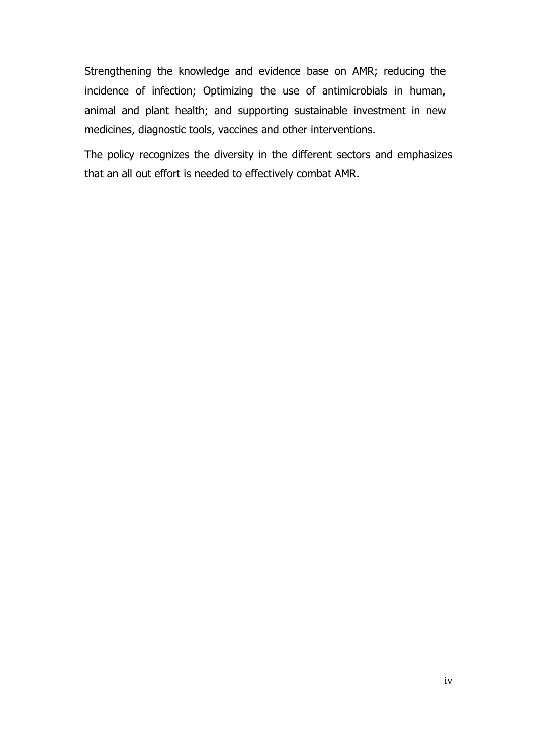Strengthening the knowledge and evidence base on AMR; reducing the incidence of infection; Optimizing the use of antimicrobials in human, animal and plant health; and supporting sustainable investment in new medicines, diagnostic tools, vaccines and other interventions.

The policy recognizes the diversity in the different sectors and emphasizes that an all out effort is needed to effectively combat AMR.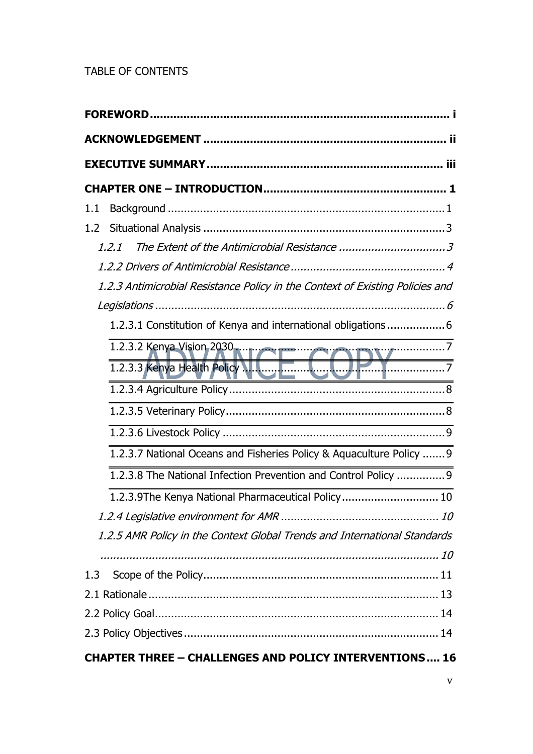#### TABLE OF CONTENTS

| 1.1                                                                                                                                                                                                                            |
|--------------------------------------------------------------------------------------------------------------------------------------------------------------------------------------------------------------------------------|
|                                                                                                                                                                                                                                |
| 1.2.1                                                                                                                                                                                                                          |
|                                                                                                                                                                                                                                |
| 1.2.3 Antimicrobial Resistance Policy in the Context of Existing Policies and                                                                                                                                                  |
|                                                                                                                                                                                                                                |
| 1.2.3.1 Constitution of Kenya and international obligations6                                                                                                                                                                   |
| 1.2.3.2 Kenya Vision 2030 mm and provided to the contract of the United States of Taylor and Taylor and Taylor and Taylor and Taylor and Taylor and Taylor and Taylor and Taylor and Taylor and Taylor and Taylor and Taylor a |
| 1.2.3.3 Kenya Health Policy N. Come Come 12 Y                                                                                                                                                                                  |
|                                                                                                                                                                                                                                |
|                                                                                                                                                                                                                                |
|                                                                                                                                                                                                                                |
| 1.2.3.7 National Oceans and Fisheries Policy & Aquaculture Policy  9                                                                                                                                                           |
| 1.2.3.8 The National Infection Prevention and Control Policy  9                                                                                                                                                                |
| 1.2.3.9The Kenya National Pharmaceutical Policy 10                                                                                                                                                                             |
|                                                                                                                                                                                                                                |
| 1.2.5 AMR Policy in the Context Global Trends and International Standards                                                                                                                                                      |
|                                                                                                                                                                                                                                |
| 1.3                                                                                                                                                                                                                            |
|                                                                                                                                                                                                                                |
|                                                                                                                                                                                                                                |
|                                                                                                                                                                                                                                |
| <b>CHAPTER THREE - CHALLENGES AND POLICY INTERVENTIONS 16</b>                                                                                                                                                                  |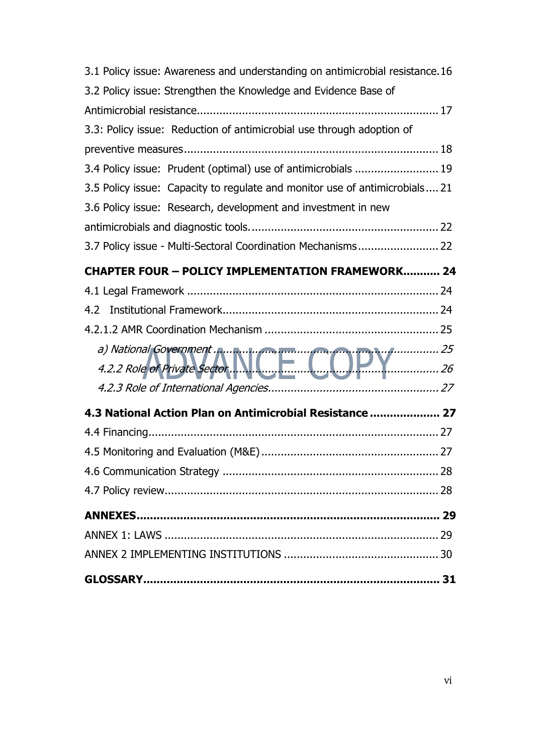| 3.1 Policy issue: Awareness and understanding on antimicrobial resistance.16 |  |  |
|------------------------------------------------------------------------------|--|--|
| 3.2 Policy issue: Strengthen the Knowledge and Evidence Base of              |  |  |
|                                                                              |  |  |
| 3.3: Policy issue: Reduction of antimicrobial use through adoption of        |  |  |
|                                                                              |  |  |
| 3.4 Policy issue: Prudent (optimal) use of antimicrobials  19                |  |  |
| 3.5 Policy issue: Capacity to regulate and monitor use of antimicrobials 21  |  |  |
| 3.6 Policy issue: Research, development and investment in new                |  |  |
|                                                                              |  |  |
| 3.7 Policy issue - Multi-Sectoral Coordination Mechanisms 22                 |  |  |
| <b>CHAPTER FOUR - POLICY IMPLEMENTATION FRAMEWORK 24</b>                     |  |  |
|                                                                              |  |  |
|                                                                              |  |  |
|                                                                              |  |  |
|                                                                              |  |  |
| a) National Government<br>4.2.2 Role of Private Sector                       |  |  |
|                                                                              |  |  |
| 4.3 National Action Plan on Antimicrobial Resistance  27                     |  |  |
|                                                                              |  |  |
|                                                                              |  |  |
|                                                                              |  |  |
|                                                                              |  |  |
|                                                                              |  |  |
|                                                                              |  |  |
|                                                                              |  |  |
|                                                                              |  |  |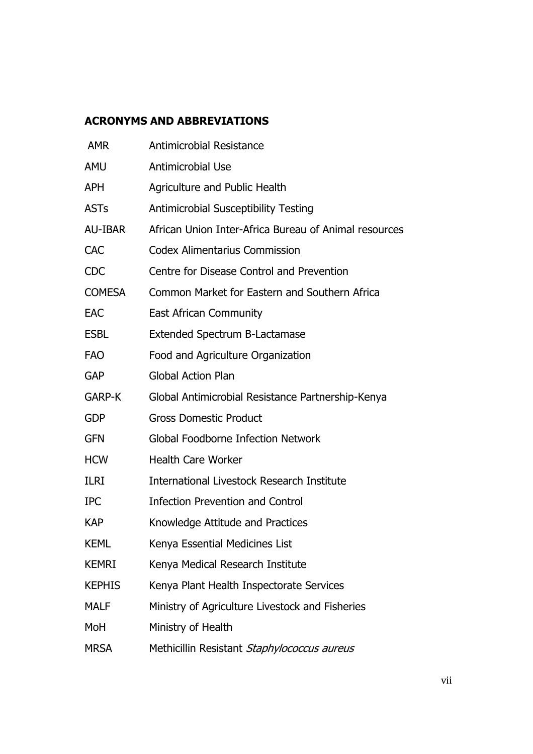#### **ACRONYMS AND ABBREVIATIONS**

| <b>AMR</b>    | <b>Antimicrobial Resistance</b>                       |
|---------------|-------------------------------------------------------|
| AMU           | Antimicrobial Use                                     |
| <b>APH</b>    | Agriculture and Public Health                         |
| <b>ASTs</b>   | <b>Antimicrobial Susceptibility Testing</b>           |
| AU-IBAR       | African Union Inter-Africa Bureau of Animal resources |
| <b>CAC</b>    | <b>Codex Alimentarius Commission</b>                  |
| <b>CDC</b>    | Centre for Disease Control and Prevention             |
| <b>COMESA</b> | Common Market for Eastern and Southern Africa         |
| <b>EAC</b>    | <b>East African Community</b>                         |
| <b>ESBL</b>   | <b>Extended Spectrum B-Lactamase</b>                  |
| <b>FAO</b>    | Food and Agriculture Organization                     |
| <b>GAP</b>    | <b>Global Action Plan</b>                             |
| <b>GARP-K</b> | Global Antimicrobial Resistance Partnership-Kenya     |
| <b>GDP</b>    | <b>Gross Domestic Product</b>                         |
| <b>GFN</b>    | <b>Global Foodborne Infection Network</b>             |
| <b>HCW</b>    | <b>Health Care Worker</b>                             |
| <b>ILRI</b>   | International Livestock Research Institute            |
| <b>IPC</b>    | <b>Infection Prevention and Control</b>               |
| <b>KAP</b>    | Knowledge Attitude and Practices                      |
| <b>KEML</b>   | Kenya Essential Medicines List                        |
| <b>KEMRI</b>  | Kenya Medical Research Institute                      |
| <b>KEPHIS</b> | Kenya Plant Health Inspectorate Services              |
| <b>MALF</b>   | Ministry of Agriculture Livestock and Fisheries       |
| MoH           | Ministry of Health                                    |
| <b>MRSA</b>   | Methicillin Resistant Staphylococcus aureus           |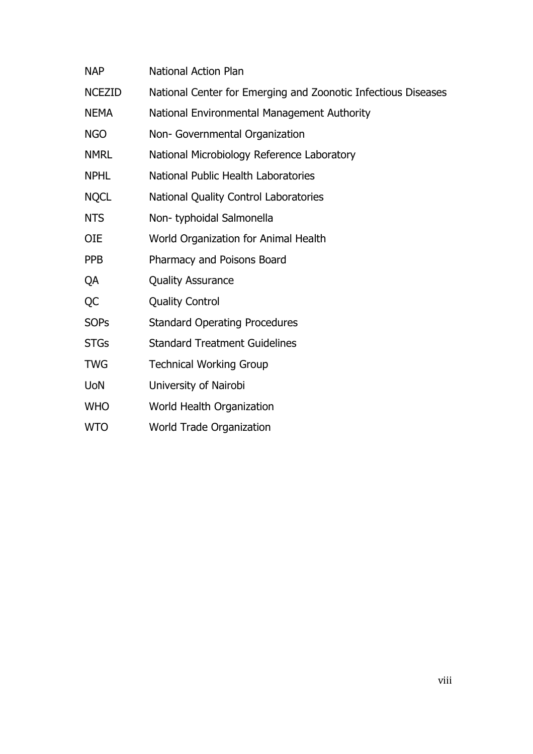| <b>NAP</b>    | <b>National Action Plan</b>                                   |
|---------------|---------------------------------------------------------------|
| <b>NCEZID</b> | National Center for Emerging and Zoonotic Infectious Diseases |
| <b>NEMA</b>   | National Environmental Management Authority                   |
| <b>NGO</b>    | Non- Governmental Organization                                |
| <b>NMRL</b>   | National Microbiology Reference Laboratory                    |
| <b>NPHL</b>   | National Public Health Laboratories                           |
| <b>NQCL</b>   | National Quality Control Laboratories                         |
| <b>NTS</b>    | Non-typhoidal Salmonella                                      |
| <b>OIE</b>    | World Organization for Animal Health                          |
| <b>PPB</b>    | Pharmacy and Poisons Board                                    |
| QA            | <b>Quality Assurance</b>                                      |
| <b>QC</b>     | <b>Quality Control</b>                                        |
| <b>SOPs</b>   | <b>Standard Operating Procedures</b>                          |
| <b>STGs</b>   | <b>Standard Treatment Guidelines</b>                          |
| <b>TWG</b>    | <b>Technical Working Group</b>                                |
| <b>UoN</b>    | University of Nairobi                                         |
| <b>WHO</b>    | World Health Organization                                     |
| <b>WTO</b>    | World Trade Organization                                      |
|               |                                                               |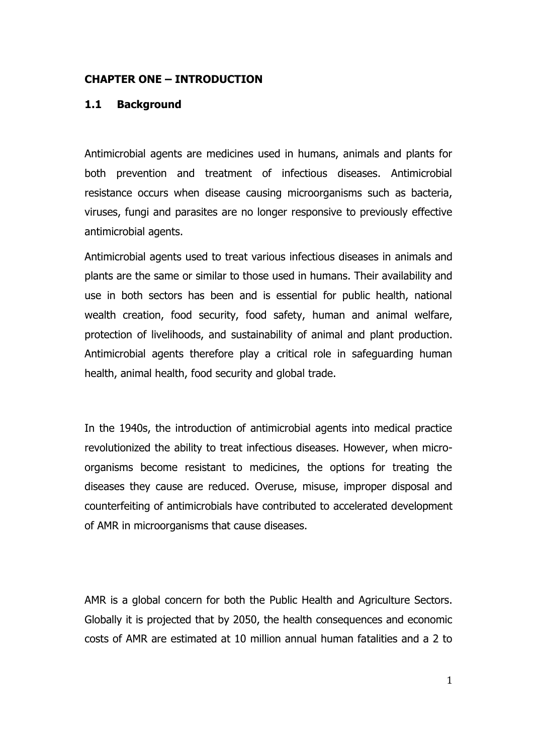#### **CHAPTER ONE – INTRODUCTION**

#### **1.1 Background**

Antimicrobial agents are medicines used in humans, animals and plants for both prevention and treatment of infectious diseases. Antimicrobial resistance occurs when disease causing microorganisms such as bacteria, viruses, fungi and parasites are no longer responsive to previously effective antimicrobial agents.

Antimicrobial agents used to treat various infectious diseases in animals and plants are the same or similar to those used in humans. Their availability and use in both sectors has been and is essential for public health, national wealth creation, food security, food safety, human and animal welfare, protection of livelihoods, and sustainability of animal and plant production. Antimicrobial agents therefore play a critical role in safeguarding human health, animal health, food security and global trade.

In the 1940s, the introduction of antimicrobial agents into medical practice revolutionized the ability to treat infectious diseases. However, when microorganisms become resistant to medicines, the options for treating the diseases they cause are reduced. Overuse, misuse, improper disposal and counterfeiting of antimicrobials have contributed to accelerated development of AMR in microorganisms that cause diseases.

AMR is a global concern for both the Public Health and Agriculture Sectors. Globally it is projected that by 2050, the health consequences and economic costs of AMR are estimated at 10 million annual human fatalities and a 2 to

1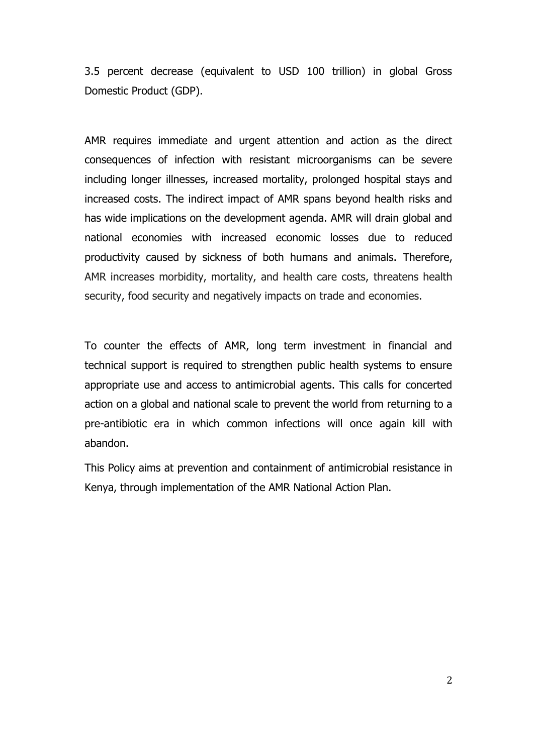3.5 percent decrease (equivalent to USD 100 trillion) in global Gross Domestic Product (GDP).

AMR requires immediate and urgent attention and action as the direct consequences of infection with resistant microorganisms can be severe including longer illnesses, increased mortality, prolonged hospital stays and increased costs. The indirect impact of AMR spans beyond health risks and has wide implications on the development agenda. AMR will drain global and national economies with increased economic losses due to reduced productivity caused by sickness of both humans and animals. Therefore, AMR increases morbidity, mortality, and health care costs, threatens health security, food security and negatively impacts on trade and economies.

To counter the effects of AMR, long term investment in financial and technical support is required to strengthen public health systems to ensure appropriate use and access to antimicrobial agents. This calls for concerted action on a global and national scale to prevent the world from returning to a pre-antibiotic era in which common infections will once again kill with abandon.

This Policy aims at prevention and containment of antimicrobial resistance in Kenya, through implementation of the AMR National Action Plan.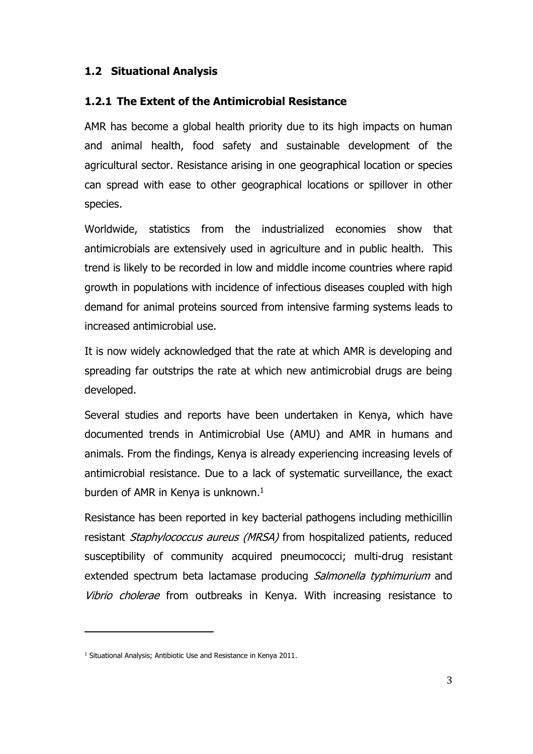#### **1.2 Situational Analysis**

#### **1.2.1 The Extent of the Antimicrobial Resistance**

AMR has become a global health priority due to its high impacts on human and animal health, food safety and sustainable development of the agricultural sector. Resistance arising in one geographical location or species can spread with ease to other geographical locations or spillover in other species.

Worldwide, statistics from the industrialized economies show that antimicrobials are extensively used in agriculture and in public health. This trend is likely to be recorded in low and middle income countries where rapid growth in populations with incidence of infectious diseases coupled with high demand for animal proteins sourced from intensive farming systems leads to increased antimicrobial use.

It is now widely acknowledged that the rate at which AMR is developing and spreading far outstrips the rate at which new antimicrobial drugs are being developed.

Several studies and reports have been undertaken in Kenya, which have documented trends in Antimicrobial Use (AMU) and AMR in humans and animals. From the findings, Kenya is already experiencing increasing levels of antimicrobial resistance. Due to a lack of systematic surveillance, the exact burden of AMR in Kenya is unknown.<sup>1</sup>

Resistance has been reported in key bacterial pathogens including methicillin resistant Staphylococcus aureus (MRSA) from hospitalized patients, reduced susceptibility of community acquired pneumococci; multi-drug resistant extended spectrum beta lactamase producing Salmonella typhimurium and Vibrio cholerae from outbreaks in Kenya. With increasing resistance to

 $\overline{a}$ 

<sup>&</sup>lt;sup>1</sup> Situational Analysis; Antibiotic Use and Resistance in Kenya 2011.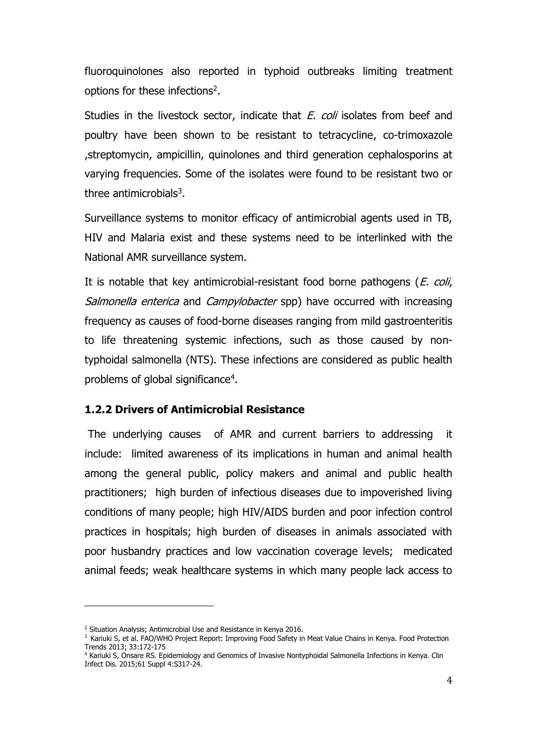fluoroquinolones also reported in typhoid outbreaks limiting treatment options for these infections<sup>2</sup>.

Studies in the livestock sector, indicate that *E. coli* isolates from beef and poultry have been shown to be resistant to tetracycline, co-trimoxazole ,streptomycin, ampicillin, quinolones and third generation cephalosporins at varying frequencies. Some of the isolates were found to be resistant two or three antimicrobials<sup>3</sup>.

Surveillance systems to monitor efficacy of antimicrobial agents used in TB, HIV and Malaria exist and these systems need to be interlinked with the National AMR surveillance system.

It is notable that key antimicrobial-resistant food borne pathogens (*E. coli,* Salmonella enterica and Campylobacter spp) have occurred with increasing frequency as causes of food-borne diseases ranging from mild gastroenteritis to life threatening systemic infections, such as those caused by nontyphoidal salmonella (NTS). These infections are considered as public health problems of global significance<sup>4</sup>.

#### **1.2.2 Drivers of Antimicrobial Resistance**

The underlying causes of AMR and current barriers to addressing it include: limited awareness of its implications in human and animal health among the general public, policy makers and animal and public health practitioners; high burden of infectious diseases due to impoverished living conditions of many people; high HIV/AIDS burden and poor infection control practices in hospitals; high burden of diseases in animals associated with poor husbandry practices and low vaccination coverage levels; medicated animal feeds; weak healthcare systems in which many people lack access to

 $\overline{a}$ 

<sup>&</sup>lt;sup>2</sup> Situation Analysis; Antimicrobial Use and Resistance in Kenya 2016.

<sup>&</sup>lt;sup>3</sup> Kariuki S, et al. FAO/WHO Project Report: Improving Food Safety in Meat Value Chains in Kenya. Food Protection Trends 2013; 33:172-175

<sup>4</sup> Kariuki S, Onsare RS. Epidemiology and Genomics of Invasive Nontyphoidal Salmonella Infections in Kenya. Clin Infect Dis. 2015;61 Suppl 4:S317-24.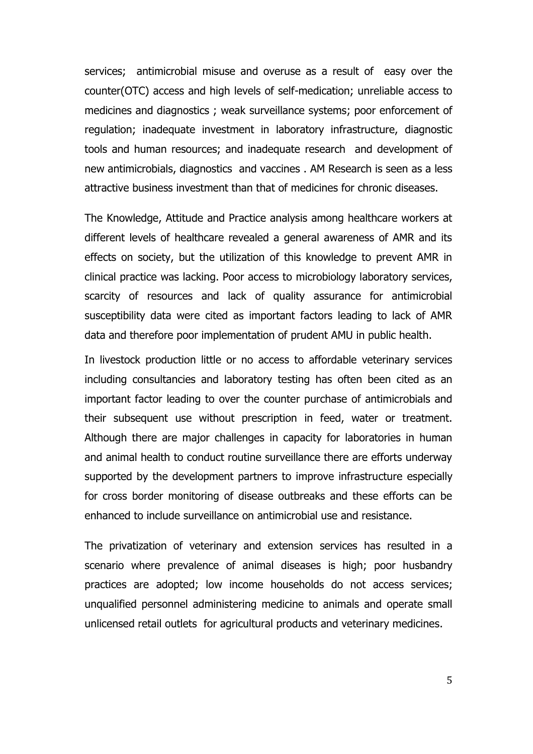services; antimicrobial misuse and overuse as a result of easy over the counter(OTC) access and high levels of self-medication; unreliable access to medicines and diagnostics ; weak surveillance systems; poor enforcement of regulation; inadequate investment in laboratory infrastructure, diagnostic tools and human resources; and inadequate research and development of new antimicrobials, diagnostics and vaccines . AM Research is seen as a less attractive business investment than that of medicines for chronic diseases.

The Knowledge, Attitude and Practice analysis among healthcare workers at different levels of healthcare revealed a general awareness of AMR and its effects on society, but the utilization of this knowledge to prevent AMR in clinical practice was lacking. Poor access to microbiology laboratory services, scarcity of resources and lack of quality assurance for antimicrobial susceptibility data were cited as important factors leading to lack of AMR data and therefore poor implementation of prudent AMU in public health.

In livestock production little or no access to affordable veterinary services including consultancies and laboratory testing has often been cited as an important factor leading to over the counter purchase of antimicrobials and their subsequent use without prescription in feed, water or treatment. Although there are major challenges in capacity for laboratories in human and animal health to conduct routine surveillance there are efforts underway supported by the development partners to improve infrastructure especially for cross border monitoring of disease outbreaks and these efforts can be enhanced to include surveillance on antimicrobial use and resistance.

The privatization of veterinary and extension services has resulted in a scenario where prevalence of animal diseases is high; poor husbandry practices are adopted; low income households do not access services; unqualified personnel administering medicine to animals and operate small unlicensed retail outlets for agricultural products and veterinary medicines.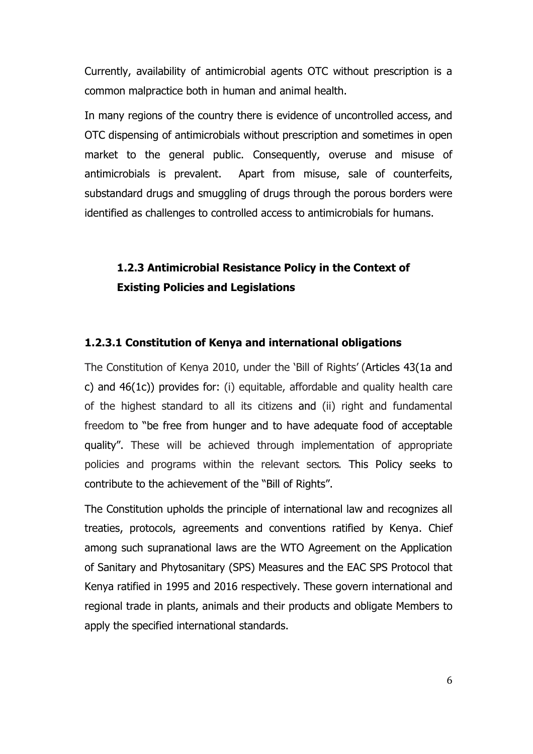Currently, availability of antimicrobial agents OTC without prescription is a common malpractice both in human and animal health.

In many regions of the country there is evidence of uncontrolled access, and OTC dispensing of antimicrobials without prescription and sometimes in open market to the general public. Consequently, overuse and misuse of antimicrobials is prevalent. Apart from misuse, sale of counterfeits, substandard drugs and smuggling of drugs through the porous borders were identified as challenges to controlled access to antimicrobials for humans.

#### **1.2.3 Antimicrobial Resistance Policy in the Context of Existing Policies and Legislations**

#### **1.2.3.1 Constitution of Kenya and international obligations**

The Constitution of Kenya 2010, under the 'Bill of Rights' (Articles 43(1a and c) and 46(1c)) provides for: (i) equitable, affordable and quality health care of the highest standard to all its citizens and (ii) right and fundamental freedom to "be free from hunger and to have adequate food of acceptable quality". These will be achieved through implementation of appropriate policies and programs within the relevant sectors. This Policy seeks to contribute to the achievement of the "Bill of Rights".

The Constitution upholds the principle of international law and recognizes all treaties, protocols, agreements and conventions ratified by Kenya. Chief among such supranational laws are the WTO Agreement on the Application of Sanitary and Phytosanitary (SPS) Measures and the EAC SPS Protocol that Kenya ratified in 1995 and 2016 respectively. These govern international and regional trade in plants, animals and their products and obligate Members to apply the specified international standards.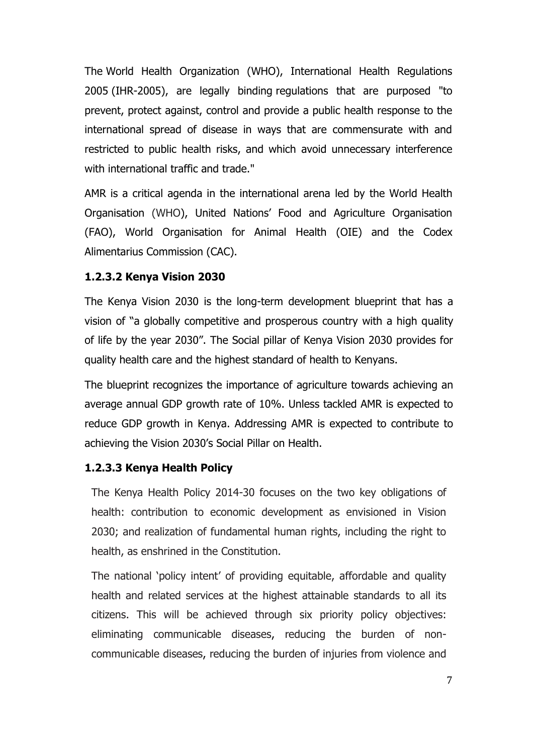The World Health Organization (WHO), International Health Regulations 2005 (IHR-2005), are legally binding regulations that are purposed "to prevent, protect against, control and provide a public health response to the international spread of disease in ways that are commensurate with and restricted to public health risks, and which avoid unnecessary interference with international traffic and trade."

AMR is a critical agenda in the international arena led by the World Health Organisation (WHO), United Nations' Food and Agriculture Organisation (FAO), World Organisation for Animal Health (OIE) and the Codex Alimentarius Commission (CAC).

#### **1.2.3.2 Kenya Vision 2030**

The Kenya Vision 2030 is the long-term development blueprint that has a vision of "a globally competitive and prosperous country with a high quality of life by the year 2030". The Social pillar of Kenya Vision 2030 provides for quality health care and the highest standard of health to Kenyans.

The blueprint recognizes the importance of agriculture towards achieving an average annual GDP growth rate of 10%. Unless tackled AMR is expected to reduce GDP growth in Kenya. Addressing AMR is expected to contribute to achieving the Vision 2030's Social Pillar on Health.

#### **1.2.3.3 Kenya Health Policy**

The Kenya Health Policy 2014-30 focuses on the two key obligations of health: contribution to economic development as envisioned in Vision 2030; and realization of fundamental human rights, including the right to health, as enshrined in the Constitution.

The national 'policy intent' of providing equitable, affordable and quality health and related services at the highest attainable standards to all its citizens. This will be achieved through six priority policy objectives: eliminating communicable diseases, reducing the burden of noncommunicable diseases, reducing the burden of injuries from violence and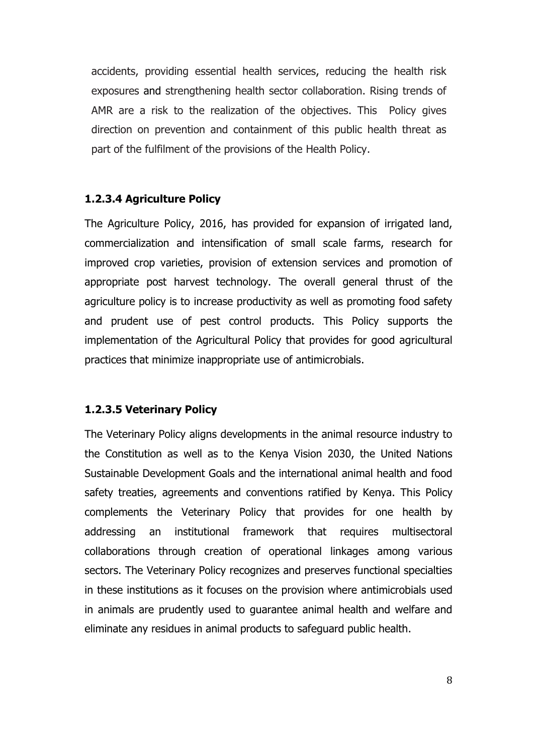accidents, providing essential health services, reducing the health risk exposures and strengthening health sector collaboration. Rising trends of AMR are a risk to the realization of the objectives. This Policy gives direction on prevention and containment of this public health threat as part of the fulfilment of the provisions of the Health Policy.

#### **1.2.3.4 Agriculture Policy**

The Agriculture Policy, 2016, has provided for expansion of irrigated land, commercialization and intensification of small scale farms, research for improved crop varieties, provision of extension services and promotion of appropriate post harvest technology. The overall general thrust of the agriculture policy is to increase productivity as well as promoting food safety and prudent use of pest control products. This Policy supports the implementation of the Agricultural Policy that provides for good agricultural practices that minimize inappropriate use of antimicrobials.

#### **1.2.3.5 Veterinary Policy**

The Veterinary Policy aligns developments in the animal resource industry to the Constitution as well as to the Kenya Vision 2030, the United Nations Sustainable Development Goals and the international animal health and food safety treaties, agreements and conventions ratified by Kenya. This Policy complements the Veterinary Policy that provides for one health by addressing an institutional framework that requires multisectoral collaborations through creation of operational linkages among various sectors. The Veterinary Policy recognizes and preserves functional specialties in these institutions as it focuses on the provision where antimicrobials used in animals are prudently used to guarantee animal health and welfare and eliminate any residues in animal products to safeguard public health.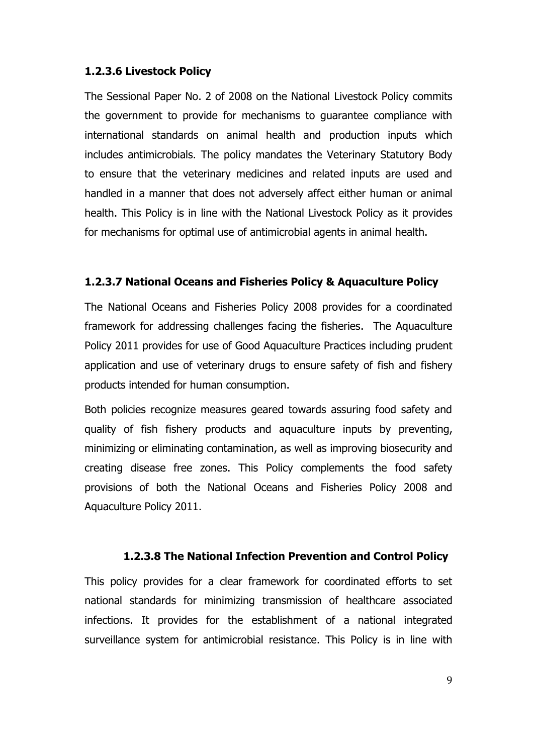#### **1.2.3.6 Livestock Policy**

The Sessional Paper No. 2 of 2008 on the National Livestock Policy commits the government to provide for mechanisms to guarantee compliance with international standards on animal health and production inputs which includes antimicrobials. The policy mandates the Veterinary Statutory Body to ensure that the veterinary medicines and related inputs are used and handled in a manner that does not adversely affect either human or animal health. This Policy is in line with the National Livestock Policy as it provides for mechanisms for optimal use of antimicrobial agents in animal health.

#### **1.2.3.7 National Oceans and Fisheries Policy & Aquaculture Policy**

The National Oceans and Fisheries Policy 2008 provides for a coordinated framework for addressing challenges facing the fisheries. The Aquaculture Policy 2011 provides for use of Good Aquaculture Practices including prudent application and use of veterinary drugs to ensure safety of fish and fishery products intended for human consumption.

Both policies recognize measures geared towards assuring food safety and quality of fish fishery products and aquaculture inputs by preventing, minimizing or eliminating contamination, as well as improving biosecurity and creating disease free zones. This Policy complements the food safety provisions of both the National Oceans and Fisheries Policy 2008 and Aquaculture Policy 2011.

#### **1.2.3.8 The National Infection Prevention and Control Policy**

This policy provides for a clear framework for coordinated efforts to set national standards for minimizing transmission of healthcare associated infections. It provides for the establishment of a national integrated surveillance system for antimicrobial resistance. This Policy is in line with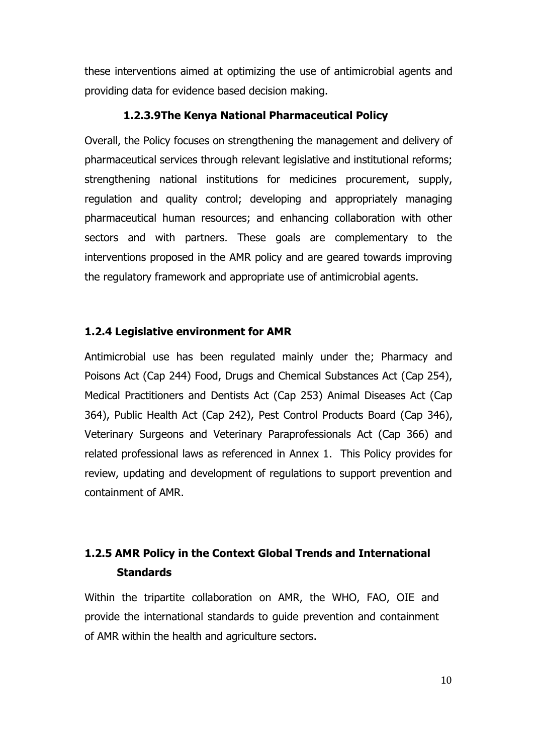these interventions aimed at optimizing the use of antimicrobial agents and providing data for evidence based decision making.

#### **1.2.3.9The Kenya National Pharmaceutical Policy**

Overall, the Policy focuses on strengthening the management and delivery of pharmaceutical services through relevant legislative and institutional reforms; strengthening national institutions for medicines procurement, supply, regulation and quality control; developing and appropriately managing pharmaceutical human resources; and enhancing collaboration with other sectors and with partners. These goals are complementary to the interventions proposed in the AMR policy and are geared towards improving the regulatory framework and appropriate use of antimicrobial agents.

#### **1.2.4 Legislative environment for AMR**

Antimicrobial use has been regulated mainly under the; Pharmacy and Poisons Act (Cap 244) Food, Drugs and Chemical Substances Act (Cap 254), Medical Practitioners and Dentists Act (Cap 253) Animal Diseases Act (Cap 364), Public Health Act (Cap 242), Pest Control Products Board (Cap 346), Veterinary Surgeons and Veterinary Paraprofessionals Act (Cap 366) and related professional laws as referenced in Annex 1. This Policy provides for review, updating and development of regulations to support prevention and containment of AMR.

#### **1.2.5 AMR Policy in the Context Global Trends and International Standards**

Within the tripartite collaboration on AMR, the WHO, FAO, OIE and provide the international standards to guide prevention and containment of AMR within the health and agriculture sectors.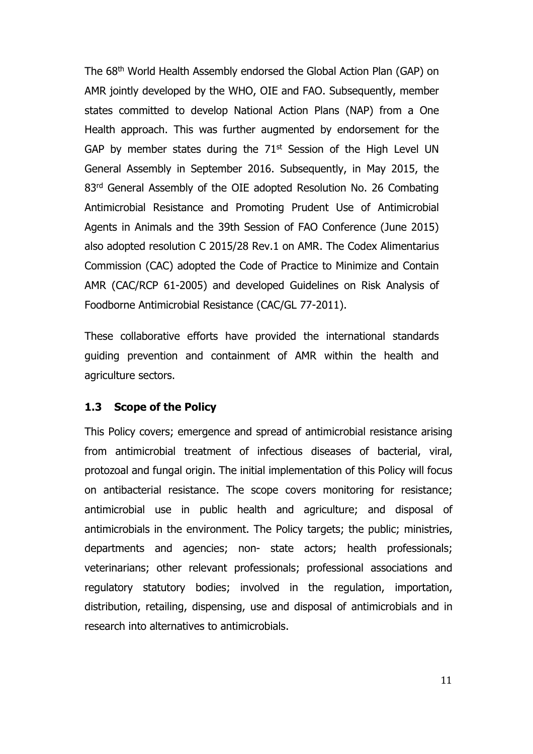The 68th World Health Assembly endorsed the Global Action Plan (GAP) on AMR jointly developed by the WHO, OIE and FAO. Subsequently, member states committed to develop National Action Plans (NAP) from a One Health approach. This was further augmented by endorsement for the GAP by member states during the  $71<sup>st</sup>$  Session of the High Level UN General Assembly in September 2016. Subsequently, in May 2015, the 83<sup>rd</sup> General Assembly of the OIE adopted Resolution No. 26 Combating Antimicrobial Resistance and Promoting Prudent Use of Antimicrobial Agents in Animals and the 39th Session of FAO Conference (June 2015) also adopted resolution C 2015/28 Rev.1 on AMR. The Codex Alimentarius Commission (CAC) adopted the Code of Practice to Minimize and Contain AMR (CAC/RCP 61-2005) and developed Guidelines on Risk Analysis of Foodborne Antimicrobial Resistance (CAC/GL 77-2011).

These collaborative efforts have provided the international standards guiding prevention and containment of AMR within the health and agriculture sectors.

#### **1.3 Scope of the Policy**

This Policy covers; emergence and spread of antimicrobial resistance arising from antimicrobial treatment of infectious diseases of bacterial, viral, protozoal and fungal origin. The initial implementation of this Policy will focus on antibacterial resistance. The scope covers monitoring for resistance; antimicrobial use in public health and agriculture; and disposal of antimicrobials in the environment. The Policy targets; the public; ministries, departments and agencies; non- state actors; health professionals; veterinarians; other relevant professionals; professional associations and regulatory statutory bodies; involved in the regulation, importation, distribution, retailing, dispensing, use and disposal of antimicrobials and in research into alternatives to antimicrobials.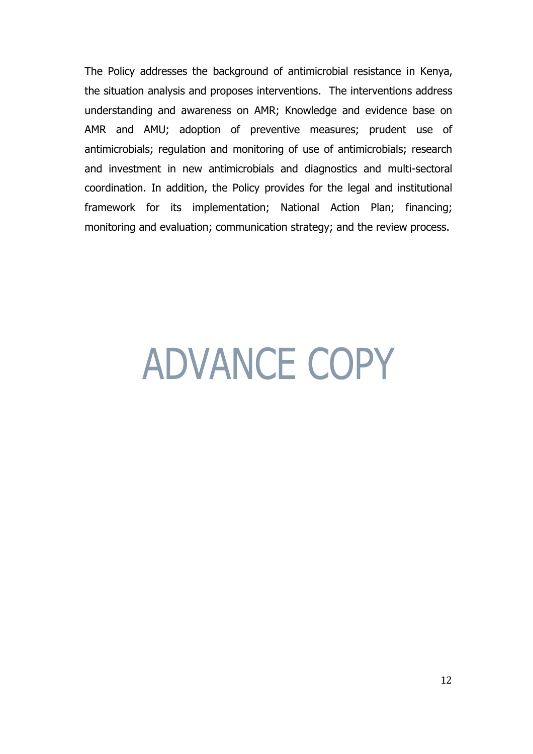The Policy addresses the background of antimicrobial resistance in Kenya, the situation analysis and proposes interventions. The interventions address understanding and awareness on AMR; Knowledge and evidence base on AMR and AMU; adoption of preventive measures; prudent use of antimicrobials; regulation and monitoring of use of antimicrobials; research and investment in new antimicrobials and diagnostics and multi-sectoral coordination. In addition, the Policy provides for the legal and institutional framework for its implementation; National Action Plan; financing; monitoring and evaluation; communication strategy; and the review process.

## **ADVANCE COPY**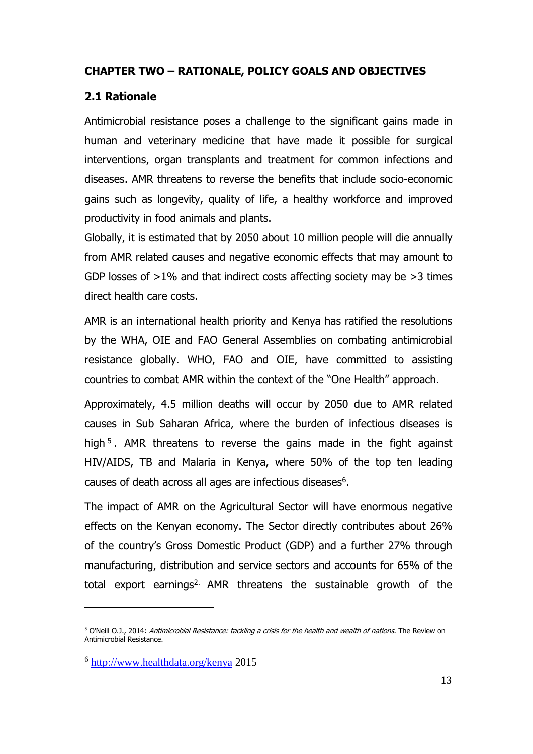#### **CHAPTER TWO – RATIONALE, POLICY GOALS AND OBJECTIVES**

#### **2.1 Rationale**

Antimicrobial resistance poses a challenge to the significant gains made in human and veterinary medicine that have made it possible for surgical interventions, organ transplants and treatment for common infections and diseases. AMR threatens to reverse the benefits that include socio-economic gains such as longevity, quality of life, a healthy workforce and improved productivity in food animals and plants.

Globally, it is estimated that by 2050 about 10 million people will die annually from AMR related causes and negative economic effects that may amount to GDP losses of >1% and that indirect costs affecting society may be >3 times direct health care costs.

AMR is an international health priority and Kenya has ratified the resolutions by the WHA, OIE and FAO General Assemblies on combating antimicrobial resistance globally. WHO, FAO and OIE, have committed to assisting countries to combat AMR within the context of the "One Health" approach.

Approximately, 4.5 million deaths will occur by 2050 due to AMR related causes in Sub Saharan Africa, where the burden of infectious diseases is high<sup>5</sup>. AMR threatens to reverse the gains made in the fight against HIV/AIDS, TB and Malaria in Kenya, where 50% of the top ten leading causes of death across all ages are infectious diseases<sup>6</sup>.

The impact of AMR on the Agricultural Sector will have enormous negative effects on the Kenyan economy. The Sector directly contributes about 26% of the country's Gross Domestic Product (GDP) and a further 27% through manufacturing, distribution and service sectors and accounts for 65% of the total export earnings<sup>2.</sup> AMR threatens the sustainable growth of the

 $\overline{a}$ 

<sup>&</sup>lt;sup>5</sup> O'Neill O.J., 2014: Antimicrobial Resistance: tackling a crisis for the health and wealth of nations. The Review on Antimicrobial Resistance.

<sup>&</sup>lt;sup>6</sup> <http://www.healthdata.org/kenya> 2015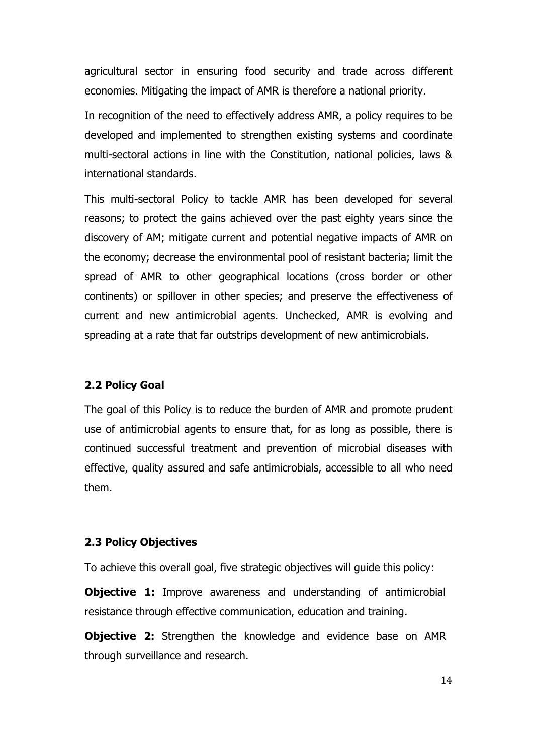agricultural sector in ensuring food security and trade across different economies. Mitigating the impact of AMR is therefore a national priority.

In recognition of the need to effectively address AMR, a policy requires to be developed and implemented to strengthen existing systems and coordinate multi-sectoral actions in line with the Constitution, national policies, laws & international standards.

This multi-sectoral Policy to tackle AMR has been developed for several reasons; to protect the gains achieved over the past eighty years since the discovery of AM; mitigate current and potential negative impacts of AMR on the economy; decrease the environmental pool of resistant bacteria; limit the spread of AMR to other geographical locations (cross border or other continents) or spillover in other species; and preserve the effectiveness of current and new antimicrobial agents. Unchecked, AMR is evolving and spreading at a rate that far outstrips development of new antimicrobials.

#### **2.2 Policy Goal**

The goal of this Policy is to reduce the burden of AMR and promote prudent use of antimicrobial agents to ensure that, for as long as possible, there is continued successful treatment and prevention of microbial diseases with effective, quality assured and safe antimicrobials, accessible to all who need them.

#### **2.3 Policy Objectives**

To achieve this overall goal, five strategic objectives will guide this policy:

**Objective 1:** Improve awareness and understanding of antimicrobial resistance through effective communication, education and training.

**Objective 2:** Strengthen the knowledge and evidence base on AMR through surveillance and research.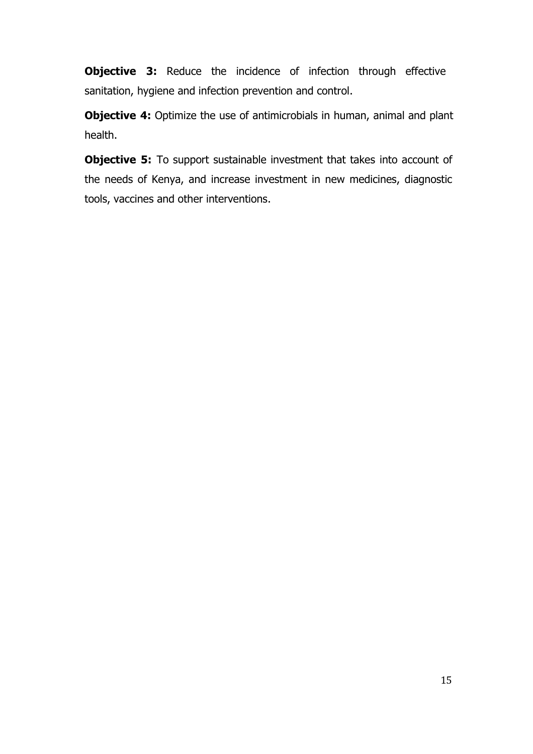**Objective 3:** Reduce the incidence of infection through effective sanitation, hygiene and infection prevention and control.

**Objective 4:** Optimize the use of antimicrobials in human, animal and plant health.

**Objective 5:** To support sustainable investment that takes into account of the needs of Kenya, and increase investment in new medicines, diagnostic tools, vaccines and other interventions.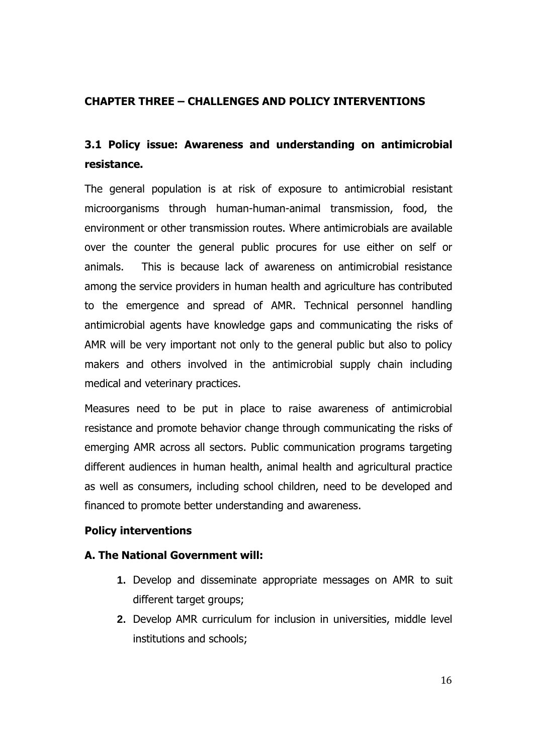#### **CHAPTER THREE – CHALLENGES AND POLICY INTERVENTIONS**

#### **3.1 Policy issue: Awareness and understanding on antimicrobial resistance.**

The general population is at risk of exposure to antimicrobial resistant microorganisms through human-human-animal transmission, food, the environment or other transmission routes. Where antimicrobials are available over the counter the general public procures for use either on self or animals. This is because lack of awareness on antimicrobial resistance among the service providers in human health and agriculture has contributed to the emergence and spread of AMR. Technical personnel handling antimicrobial agents have knowledge gaps and communicating the risks of AMR will be very important not only to the general public but also to policy makers and others involved in the antimicrobial supply chain including medical and veterinary practices.

Measures need to be put in place to raise awareness of antimicrobial resistance and promote behavior change through communicating the risks of emerging AMR across all sectors. Public communication programs targeting different audiences in human health, animal health and agricultural practice as well as consumers, including school children, need to be developed and financed to promote better understanding and awareness.

#### **Policy interventions**

#### **A. The National Government will:**

- **1.** Develop and disseminate appropriate messages on AMR to suit different target groups;
- **2.** Develop AMR curriculum for inclusion in universities, middle level institutions and schools;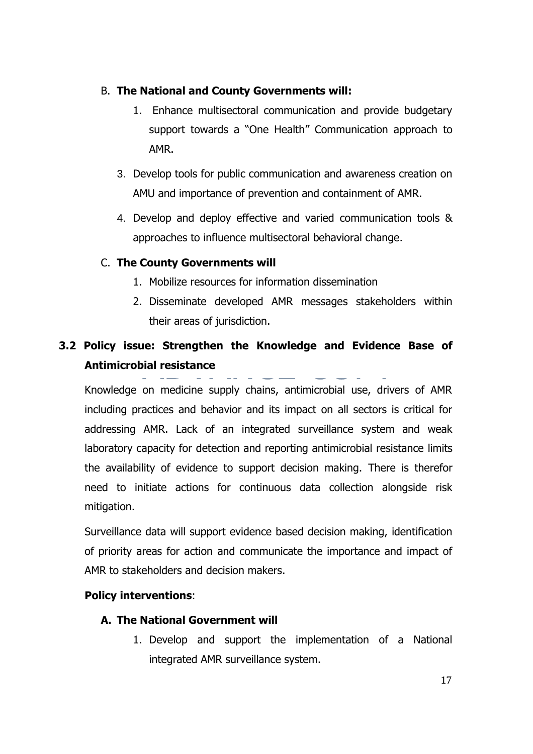#### B. **The National and County Governments will:**

- 1. Enhance multisectoral communication and provide budgetary support towards a "One Health" Communication approach to AMR.
- 3. Develop tools for public communication and awareness creation on AMU and importance of prevention and containment of AMR.
- 4. Develop and deploy effective and varied communication tools & approaches to influence multisectoral behavioral change.

#### C. **The County Governments will**

- 1. Mobilize resources for information dissemination
- 2. Disseminate developed AMR messages stakeholders within their areas of jurisdiction.

#### **3.2 Policy issue: Strengthen the Knowledge and Evidence Base of Antimicrobial resistance**

Knowledge on medicine supply chains, antimicrobial use, drivers of AMR including practices and behavior and its impact on all sectors is critical for addressing AMR. Lack of an integrated surveillance system and weak laboratory capacity for detection and reporting antimicrobial resistance limits the availability of evidence to support decision making. There is therefor need to initiate actions for continuous data collection alongside risk mitigation.

Surveillance data will support evidence based decision making, identification of priority areas for action and communicate the importance and impact of AMR to stakeholders and decision makers.

#### **Policy interventions**:

#### **A. The National Government will**

1. Develop and support the implementation of a National integrated AMR surveillance system.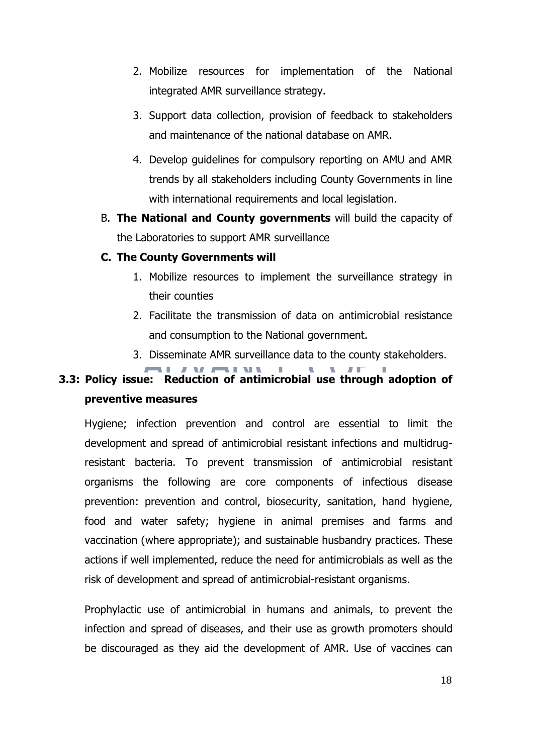- 2. Mobilize resources for implementation of the National integrated AMR surveillance strategy.
- 3. Support data collection, provision of feedback to stakeholders and maintenance of the national database on AMR.
- 4. Develop guidelines for compulsory reporting on AMU and AMR trends by all stakeholders including County Governments in line with international requirements and local legislation.
- B. **The National and County governments** will build the capacity of the Laboratories to support AMR surveillance

#### **C. The County Governments will**

- 1. Mobilize resources to implement the surveillance strategy in their counties
- 2. Facilitate the transmission of data on antimicrobial resistance and consumption to the National government.
- 3. Disseminate AMR surveillance data to the county stakeholders.

#### **MARINEZIA 3.3: Policy issue: Reduction of antimicrobial use through adoption of preventive measures**

Hygiene; infection prevention and control are essential to limit the development and spread of antimicrobial resistant infections and multidrugresistant bacteria. To prevent transmission of antimicrobial resistant organisms the following are core components of infectious disease prevention: prevention and control, biosecurity, sanitation, hand hygiene, food and water safety; hygiene in animal premises and farms and vaccination (where appropriate); and sustainable husbandry practices. These actions if well implemented, reduce the need for antimicrobials as well as the risk of development and spread of antimicrobial-resistant organisms.

Prophylactic use of antimicrobial in humans and animals, to prevent the infection and spread of diseases, and their use as growth promoters should be discouraged as they aid the development of AMR. Use of vaccines can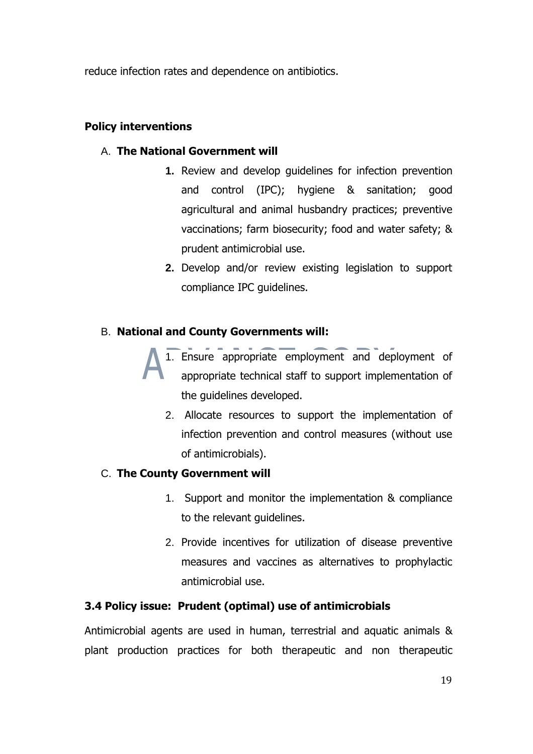reduce infection rates and dependence on antibiotics.

#### **Policy interventions**

#### A. **The National Government will**

- **1.** Review and develop guidelines for infection prevention and control (IPC); hygiene & sanitation; good agricultural and animal husbandry practices; preventive vaccinations; farm biosecurity; food and water safety; & prudent antimicrobial use.
- **2.** Develop and/or review existing legislation to support compliance IPC guidelines.

#### B. **National and County Governments will:**

- 1. Ensure appropriate employment and deployment of appropriate technical staff to support implementation of the guidelines developed.
	- 2. Allocate resources to support the implementation of infection prevention and control measures (without use of antimicrobials).

#### C. **The County Government will**

- 1. Support and monitor the implementation & compliance to the relevant guidelines.
- 2. Provide incentives for utilization of disease preventive measures and vaccines as alternatives to prophylactic antimicrobial use.

#### **3.4 Policy issue: Prudent (optimal) use of antimicrobials**

Antimicrobial agents are used in human, terrestrial and aquatic animals & plant production practices for both therapeutic and non therapeutic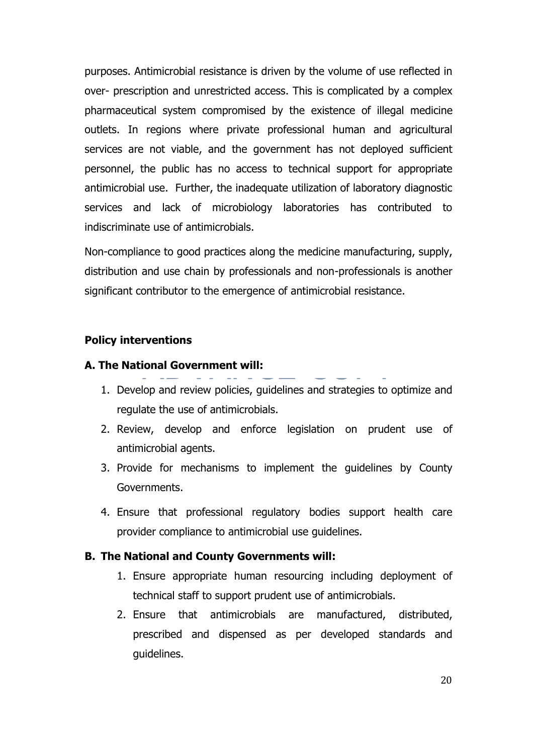purposes. Antimicrobial resistance is driven by the volume of use reflected in over- prescription and unrestricted access. This is complicated by a complex pharmaceutical system compromised by the existence of illegal medicine outlets. In regions where private professional human and agricultural services are not viable, and the government has not deployed sufficient personnel, the public has no access to technical support for appropriate antimicrobial use. Further, the inadequate utilization of laboratory diagnostic services and lack of microbiology laboratories has contributed to indiscriminate use of antimicrobials.

Non-compliance to good practices along the medicine manufacturing, supply, distribution and use chain by professionals and non-professionals is another significant contributor to the emergence of antimicrobial resistance.

#### **Policy interventions**

#### **A. The National Government will:**

- 1. Develop and review policies, guidelines and strategies to optimize and
- regulate the use of antimicrobials.
- 2. Review, develop and enforce legislation on prudent use of antimicrobial agents.
- 3. Provide for mechanisms to implement the guidelines by County Governments.
- 4. Ensure that professional regulatory bodies support health care provider compliance to antimicrobial use guidelines.

#### **B. The National and County Governments will:**

- 1. Ensure appropriate human resourcing including deployment of technical staff to support prudent use of antimicrobials.
- 2. Ensure that antimicrobials are manufactured, distributed, prescribed and dispensed as per developed standards and guidelines.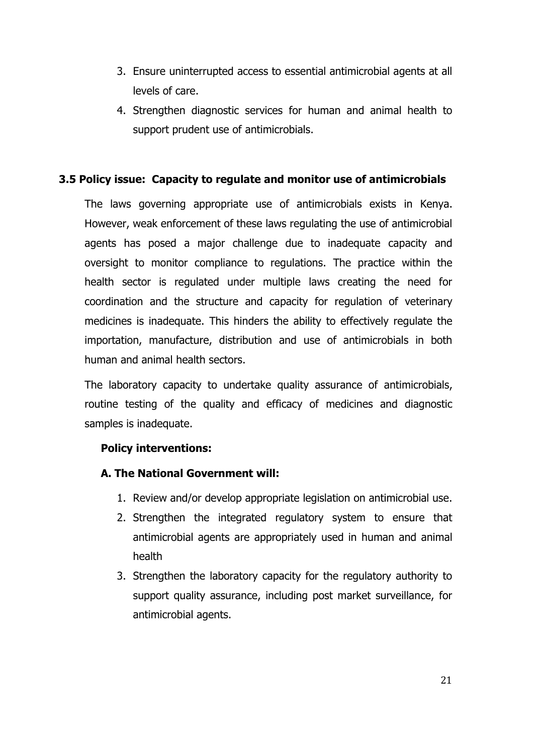- 3. Ensure uninterrupted access to essential antimicrobial agents at all levels of care.
- 4. Strengthen diagnostic services for human and animal health to support prudent use of antimicrobials.

#### **3.5 Policy issue: Capacity to regulate and monitor use of antimicrobials**

The laws governing appropriate use of antimicrobials exists in Kenya. However, weak enforcement of these laws regulating the use of antimicrobial agents has posed a major challenge due to inadequate capacity and oversight to monitor compliance to regulations. The practice within the health sector is regulated under multiple laws creating the need for coordination and the structure and capacity for regulation of veterinary medicines is inadequate. This hinders the ability to effectively regulate the importation, manufacture, distribution and use of antimicrobials in both human and animal health sectors.

The laboratory capacity to undertake quality assurance of antimicrobials, routine testing of the quality and efficacy of medicines and diagnostic samples is inadequate.

#### **Policy interventions:**

#### **A. The National Government will:**

- 1. Review and/or develop appropriate legislation on antimicrobial use.
- 2. Strengthen the integrated regulatory system to ensure that antimicrobial agents are appropriately used in human and animal health
- 3. Strengthen the laboratory capacity for the regulatory authority to support quality assurance, including post market surveillance, for antimicrobial agents.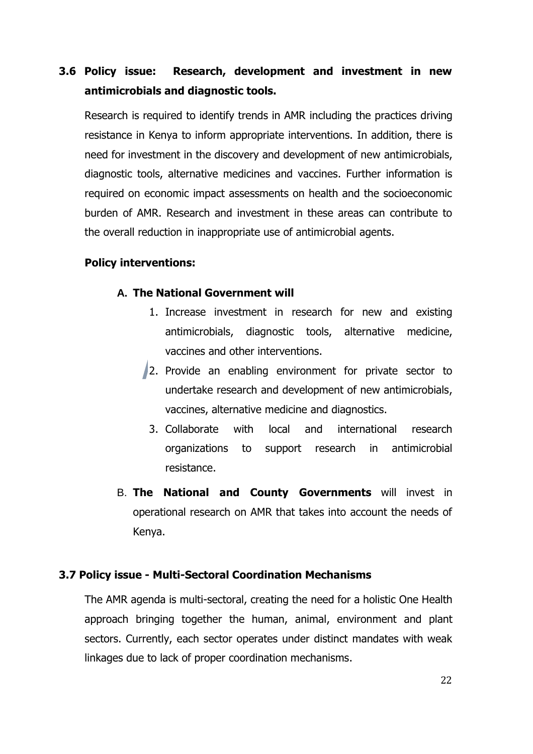#### **3.6 Policy issue: Research, development and investment in new antimicrobials and diagnostic tools.**

Research is required to identify trends in AMR including the practices driving resistance in Kenya to inform appropriate interventions. In addition, there is need for investment in the discovery and development of new antimicrobials, diagnostic tools, alternative medicines and vaccines. Further information is required on economic impact assessments on health and the socioeconomic burden of AMR. Research and investment in these areas can contribute to the overall reduction in inappropriate use of antimicrobial agents.

#### **Policy interventions:**

#### **A. The National Government will**

- 1. Increase investment in research for new and existing antimicrobials, diagnostic tools, alternative medicine, vaccines and other interventions.
- 2. Provide an enabling environment for private sector to undertake research and development of new antimicrobials, vaccines, alternative medicine and diagnostics.
	- 3. Collaborate with local and international research organizations to support research in antimicrobial resistance.
- B. **The National and County Governments** will invest in operational research on AMR that takes into account the needs of Kenya.

#### **3.7 Policy issue - Multi-Sectoral Coordination Mechanisms**

The AMR agenda is multi-sectoral, creating the need for a holistic One Health approach bringing together the human, animal, environment and plant sectors. Currently, each sector operates under distinct mandates with weak linkages due to lack of proper coordination mechanisms.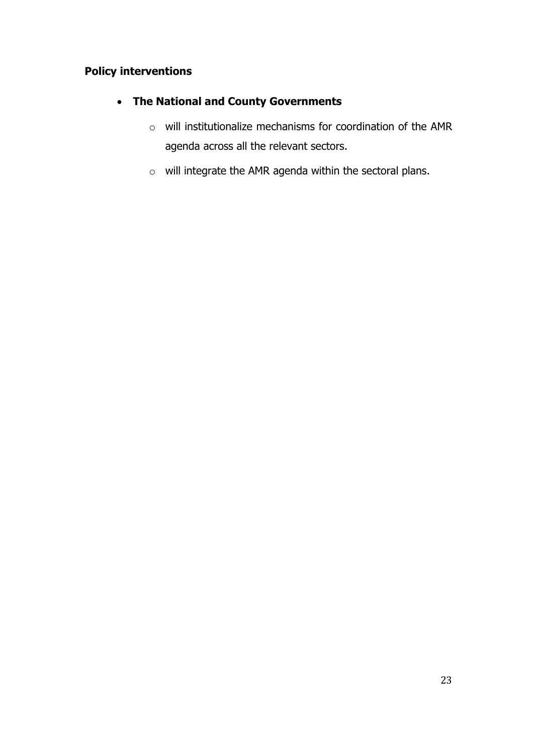#### **Policy interventions**

#### • **The National and County Governments**

- o will institutionalize mechanisms for coordination of the AMR agenda across all the relevant sectors.
- o will integrate the AMR agenda within the sectoral plans.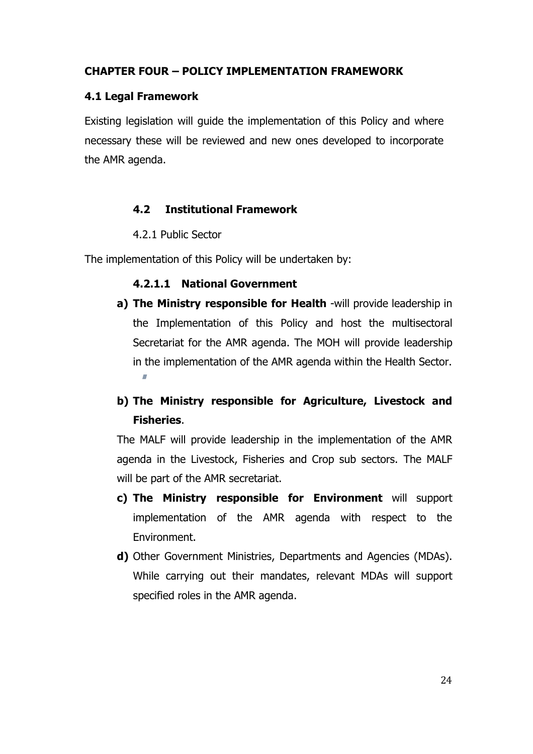#### **CHAPTER FOUR – POLICY IMPLEMENTATION FRAMEWORK**

#### **4.1 Legal Framework**

Existing legislation will guide the implementation of this Policy and where necessary these will be reviewed and new ones developed to incorporate the AMR agenda.

#### **4.2 Institutional Framework**

#### 4.2.1 Public Sector

The implementation of this Policy will be undertaken by:

#### **4.2.1.1 National Government**

**a) The Ministry responsible for Health** -will provide leadership in the Implementation of this Policy and host the multisectoral Secretariat for the AMR agenda. The MOH will provide leadership in the implementation of the AMR agenda within the Health Sector.

#### **b) The Ministry responsible for Agriculture, Livestock and Fisheries**.

The MALF will provide leadership in the implementation of the AMR agenda in the Livestock, Fisheries and Crop sub sectors. The MALF will be part of the AMR secretariat.

- **c) The Ministry responsible for Environment** will support implementation of the AMR agenda with respect to the Environment.
- **d)** Other Government Ministries, Departments and Agencies (MDAs). While carrying out their mandates, relevant MDAs will support specified roles in the AMR agenda.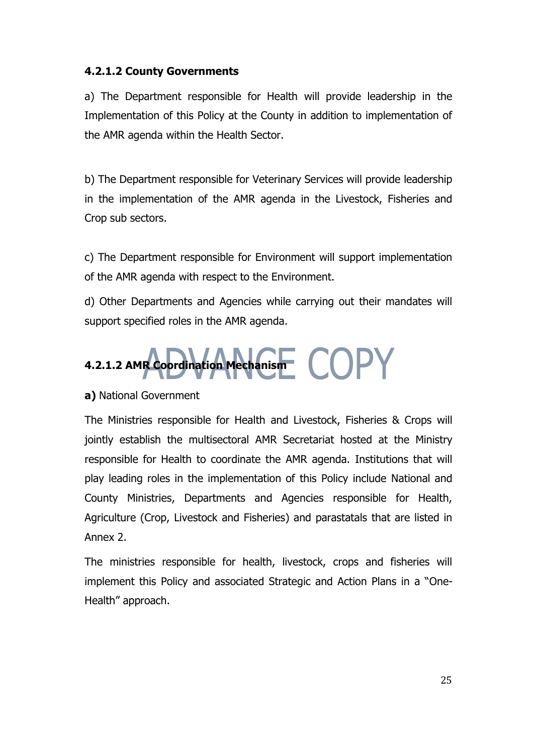#### **4.2.1.2 County Governments**

a) The Department responsible for Health will provide leadership in the Implementation of this Policy at the County in addition to implementation of the AMR agenda within the Health Sector.

b) The Department responsible for Veterinary Services will provide leadership in the implementation of the AMR agenda in the Livestock, Fisheries and Crop sub sectors.

c) The Department responsible for Environment will support implementation of the AMR agenda with respect to the Environment.

d) Other Departments and Agencies while carrying out their mandates will support specified roles in the AMR agenda.

## **4.2.1.2 AMR Coordination Mechanism**

#### **a)** National Government

The Ministries responsible for Health and Livestock, Fisheries & Crops will jointly establish the multisectoral AMR Secretariat hosted at the Ministry responsible for Health to coordinate the AMR agenda. Institutions that will play leading roles in the implementation of this Policy include National and County Ministries, Departments and Agencies responsible for Health, Agriculture (Crop, Livestock and Fisheries) and parastatals that are listed in Annex 2.

The ministries responsible for health, livestock, crops and fisheries will implement this Policy and associated Strategic and Action Plans in a "One-Health" approach.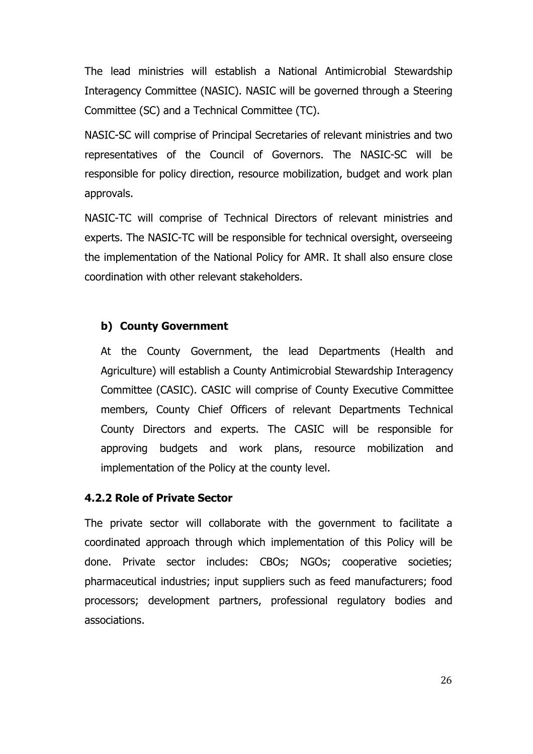The lead ministries will establish a National Antimicrobial Stewardship Interagency Committee (NASIC). NASIC will be governed through a Steering Committee (SC) and a Technical Committee (TC).

NASIC-SC will comprise of Principal Secretaries of relevant ministries and two representatives of the Council of Governors. The NASIC-SC will be responsible for policy direction, resource mobilization, budget and work plan approvals.

NASIC-TC will comprise of Technical Directors of relevant ministries and experts. The NASIC-TC will be responsible for technical oversight, overseeing the implementation of the National Policy for AMR. It shall also ensure close coordination with other relevant stakeholders.

#### **b) County Government**

At the County Government, the lead Departments (Health and Agriculture) will establish a County Antimicrobial Stewardship Interagency Committee (CASIC). CASIC will comprise of County Executive Committee members, County Chief Officers of relevant Departments Technical County Directors and experts. The CASIC will be responsible for approving budgets and work plans, resource mobilization and implementation of the Policy at the county level.

#### **4.2.2 Role of Private Sector**

The private sector will collaborate with the government to facilitate a coordinated approach through which implementation of this Policy will be done. Private sector includes: CBOs; NGOs; cooperative societies; pharmaceutical industries; input suppliers such as feed manufacturers; food processors; development partners, professional regulatory bodies and associations.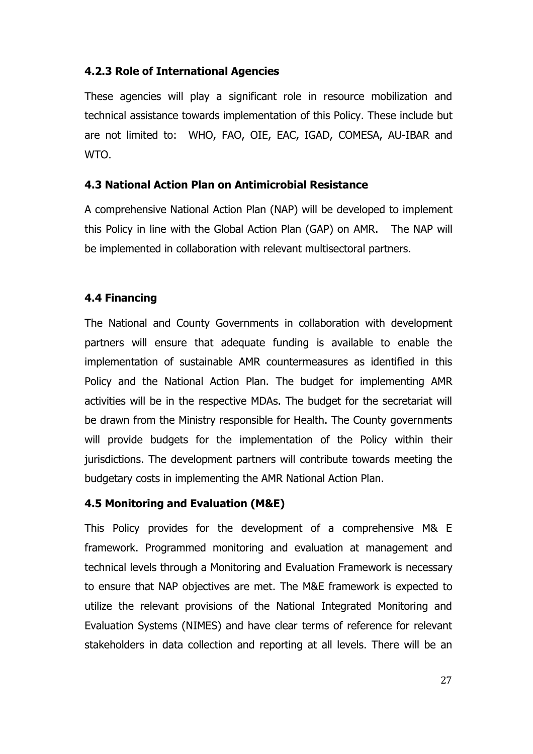#### **4.2.3 Role of International Agencies**

These agencies will play a significant role in resource mobilization and technical assistance towards implementation of this Policy. These include but are not limited to: WHO, FAO, OIE, EAC, IGAD, COMESA, AU-IBAR and WTO.

#### **4.3 National Action Plan on Antimicrobial Resistance**

A comprehensive National Action Plan (NAP) will be developed to implement this Policy in line with the Global Action Plan (GAP) on AMR. The NAP will be implemented in collaboration with relevant multisectoral partners.

#### **4.4 Financing**

The National and County Governments in collaboration with development partners will ensure that adequate funding is available to enable the implementation of sustainable AMR countermeasures as identified in this Policy and the National Action Plan. The budget for implementing AMR activities will be in the respective MDAs. The budget for the secretariat will be drawn from the Ministry responsible for Health. The County governments will provide budgets for the implementation of the Policy within their jurisdictions. The development partners will contribute towards meeting the budgetary costs in implementing the AMR National Action Plan.

#### **4.5 Monitoring and Evaluation (M&E)**

This Policy provides for the development of a comprehensive M& E framework. Programmed monitoring and evaluation at management and technical levels through a Monitoring and Evaluation Framework is necessary to ensure that NAP objectives are met. The M&E framework is expected to utilize the relevant provisions of the National Integrated Monitoring and Evaluation Systems (NIMES) and have clear terms of reference for relevant stakeholders in data collection and reporting at all levels. There will be an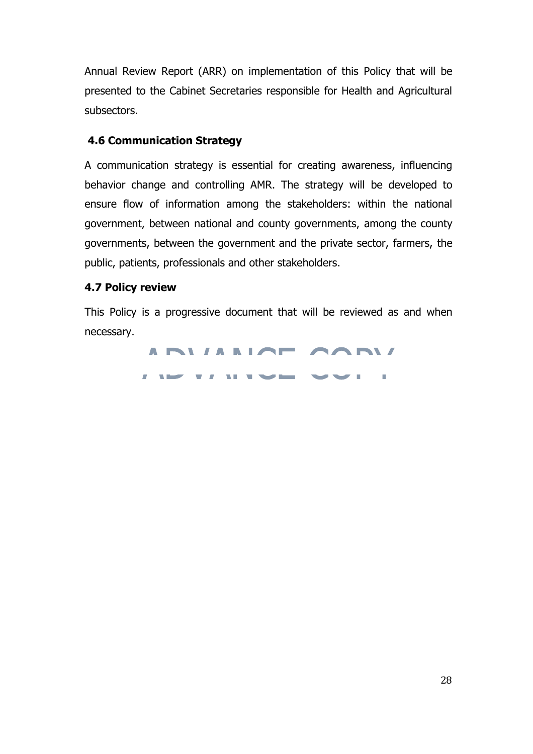Annual Review Report (ARR) on implementation of this Policy that will be presented to the Cabinet Secretaries responsible for Health and Agricultural subsectors.

#### **4.6 Communication Strategy**

A communication strategy is essential for creating awareness, influencing behavior change and controlling AMR. The strategy will be developed to ensure flow of information among the stakeholders: within the national government, between national and county governments, among the county governments, between the government and the private sector, farmers, the public, patients, professionals and other stakeholders.

#### **4.7 Policy review**

This Policy is a progressive document that will be reviewed as and when necessary.

> ANIANOT CONI  $\blacksquare$ **TIME THE**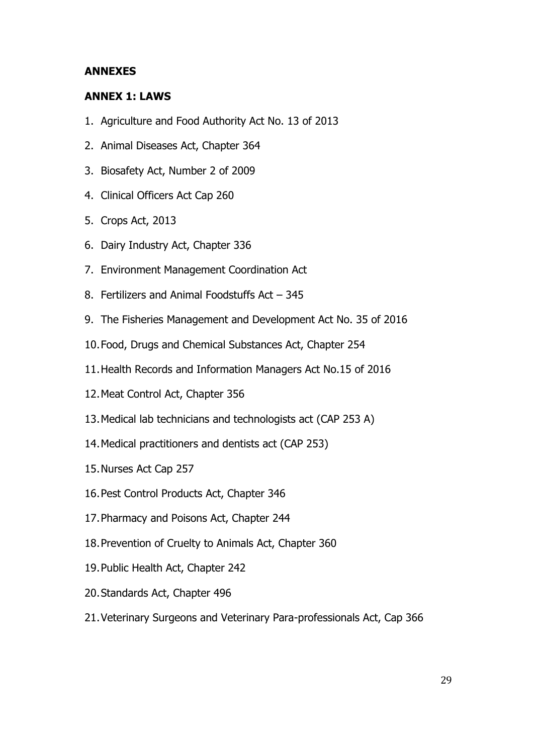#### **ANNEXES**

#### **ANNEX 1: LAWS**

- 1. Agriculture and Food Authority Act No. 13 of 2013
- 2. Animal Diseases Act, Chapter 364
- 3. Biosafety Act, Number 2 of 2009
- 4. Clinical Officers Act Cap 260
- 5. Crops Act, 2013
- 6. Dairy Industry Act, Chapter 336
- 7. Environment Management Coordination Act
- 8. Fertilizers and Animal Foodstuffs Act 345
- 9. The Fisheries Management and Development Act No. 35 of 2016
- 10.Food, Drugs and Chemical Substances Act, Chapter 254
- 11.Health Records and Information Managers Act No.15 of 2016
- 12.Meat Control Act, Chapter 356
- 13.Medical lab technicians and technologists act (CAP 253 A)
- 14.Medical practitioners and dentists act (CAP 253)
- 15.Nurses Act Cap 257
- 16.Pest Control Products Act, Chapter 346
- 17.Pharmacy and Poisons Act, Chapter 244
- 18.Prevention of Cruelty to Animals Act, Chapter 360
- 19.Public Health Act, Chapter 242
- 20.Standards Act, Chapter 496
- 21.Veterinary Surgeons and Veterinary Para-professionals Act, Cap 366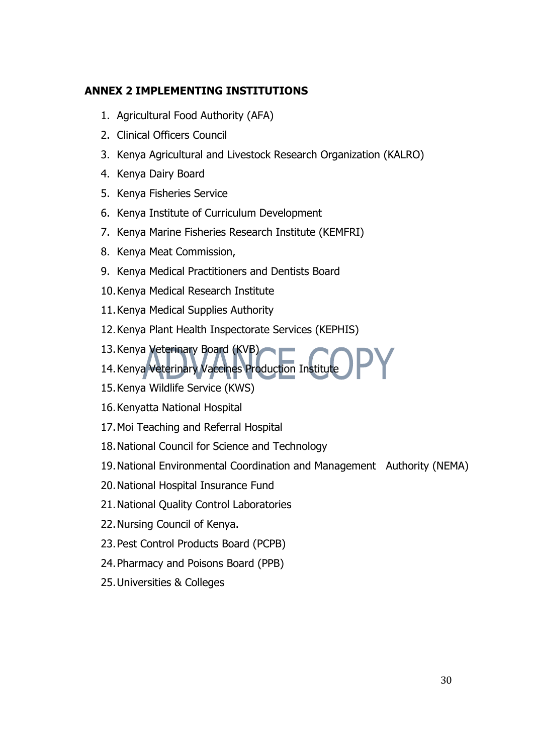#### **ANNEX 2 IMPLEMENTING INSTITUTIONS**

- 1. Agricultural Food Authority (AFA)
- 2. Clinical Officers Council
- 3. Kenya Agricultural and Livestock Research Organization (KALRO)
- 4. Kenya Dairy Board
- 5. Kenya Fisheries Service
- 6. Kenya Institute of Curriculum Development
- 7. Kenya Marine Fisheries Research Institute (KEMFRI)
- 8. Kenya Meat Commission,
- 9. Kenya Medical Practitioners and Dentists Board
- 10.Kenya Medical Research Institute
- 11.Kenya Medical Supplies Authority
- 12.Kenya Plant Health Inspectorate Services (KEPHIS)
- 13.Kenya Veterinary Board (KVB)
- 14.Kenya Veterinary Vaccines Production Institute
- 15.Kenya Wildlife Service (KWS)
- 16.Kenyatta National Hospital
- 17.Moi Teaching and Referral Hospital
- 18.National Council for Science and Technology
- 19.National Environmental Coordination and Management Authority (NEMA)
- 20.National Hospital Insurance Fund
- 21.National Quality Control Laboratories
- 22.Nursing Council of Kenya.
- 23.Pest Control Products Board (PCPB)
- 24.Pharmacy and Poisons Board (PPB)
- 25.Universities & Colleges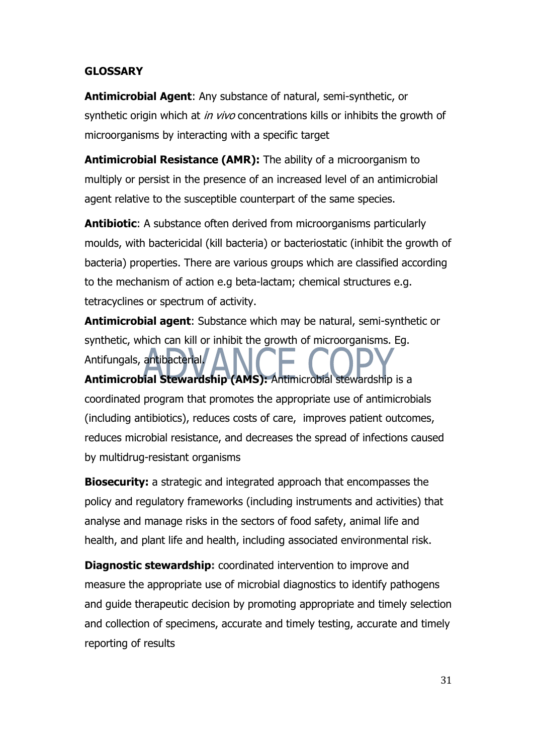#### **GLOSSARY**

**Antimicrobial Agent**: Any substance of natural, semi-synthetic, or synthetic origin which at *in vivo* concentrations kills or inhibits the growth of microorganisms by interacting with a specific target

**Antimicrobial Resistance (AMR):** The ability of a microorganism to multiply or persist in the presence of an increased level of an antimicrobial agent relative to the susceptible counterpart of the same species.

**Antibiotic**: A substance often derived from microorganisms particularly moulds, with bactericidal (kill bacteria) or bacteriostatic (inhibit the growth of bacteria) properties. There are various groups which are classified according to the mechanism of action e.g beta-lactam; chemical structures e.g. tetracyclines or spectrum of activity.

**Antimicrobial agent**: Substance which may be natural, semi-synthetic or synthetic, which can kill or inhibit the growth of microorganisms. Eg. Antifungals, antibacterial. **Antimicrobial Stewardship (AMS):** Antimicrobial stewardship is a coordinated program that promotes the appropriate use of antimicrobials (including antibiotics), reduces costs of care, improves patient outcomes, reduces microbial resistance, and decreases the spread of infections caused by multidrug-resistant organisms

**Biosecurity:** a strategic and integrated approach that encompasses the policy and regulatory frameworks (including instruments and activities) that analyse and manage risks in the sectors of food safety, animal life and health, and plant life and health, including associated environmental risk.

**Diagnostic stewardship:** coordinated intervention to improve and measure the appropriate use of microbial diagnostics to identify pathogens and guide therapeutic decision by promoting appropriate and timely selection and collection of specimens, accurate and timely testing, accurate and timely reporting of results